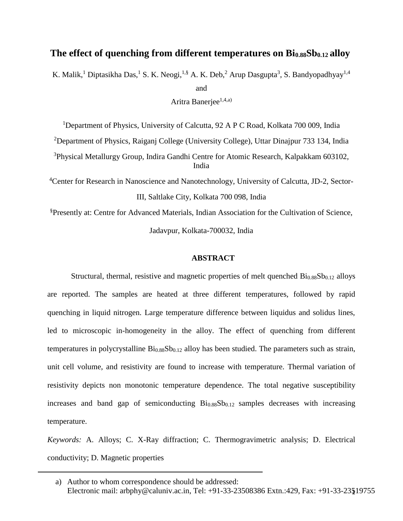# **The effect of quenching from different temperatures on Bi0.88Sb0.12 alloy**

K. Malik,<sup>1</sup> Diptasikha Das,<sup>1</sup> S. K. Neogi,<sup>1,§</sup> A. K. Deb,<sup>2</sup> Arup Dasgupta<sup>3</sup>, S. Bandyopadhyay<sup>1,4</sup>

and

Aritra Banerjee<sup>1,4,a)</sup>

<sup>1</sup>Department of Physics, University of Calcutta, 92 A P C Road, Kolkata 700 009, India

<sup>2</sup>Department of Physics, Raiganj College (University College), Uttar Dinajpur 733 134, India

<sup>3</sup>Physical Metallurgy Group, Indira Gandhi Centre for Atomic Research, Kalpakkam 603102, India

<sup>4</sup>Center for Research in Nanoscience and Nanotechnology, University of Calcutta, JD-2, Sector-III, Saltlake City, Kolkata 700 098, India

§Presently at: Centre for Advanced Materials, Indian Association for the Cultivation of Science,

Jadavpur, Kolkata-700032, India

### **ABSTRACT**

Structural, thermal, resistive and magnetic properties of melt quenched  $\rm{Bi}_{0.88}Sb_{0.12}$  alloys are reported. The samples are heated at three different temperatures, followed by rapid quenching in liquid nitrogen. Large temperature difference between liquidus and solidus lines, led to microscopic in-homogeneity in the alloy. The effect of quenching from different temperatures in polycrystalline  $Bi_{0.88}Sb_{0.12}$  alloy has been studied. The parameters such as strain, unit cell volume, and resistivity are found to increase with temperature. Thermal variation of resistivity depicts non monotonic temperature dependence. The total negative susceptibility increases and band gap of semiconducting  $Bi<sub>0.88</sub>Sb<sub>0.12</sub>$  samples decreases with increasing temperature.

*Keywords:* A. Alloys; C. X-Ray diffraction; C. Thermogravimetric analysis; D. Electrical conductivity; D. Magnetic properties

<sup>1</sup> Electronic mail: arbphy@caluniv.ac.in, Tel: +91-33-23508386 Extn.:429, Fax: +91-33-23519755 a) Author to whom correspondence should be addressed: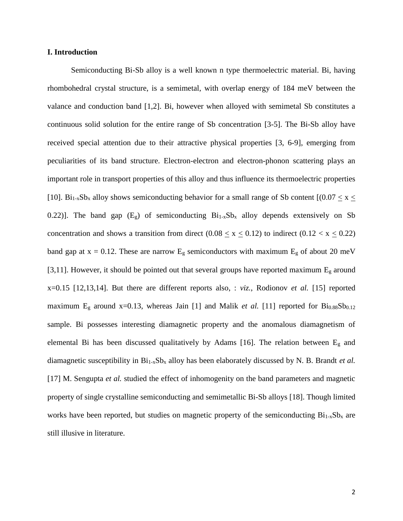### **I. Introduction**

Semiconducting Bi-Sb alloy is a well known n type thermoelectric material. Bi, having rhombohedral crystal structure, is a semimetal, with overlap energy of 184 meV between the valance and conduction band [1,2]. Bi, however when alloyed with semimetal Sb constitutes a continuous solid solution for the entire range of Sb concentration [3-5]. The Bi-Sb alloy have received special attention due to their attractive physical properties [3, 6-9], emerging from peculiarities of its band structure. Electron-electron and electron-phonon scattering plays an important role in transport properties of this alloy and thus influence its thermoelectric properties [10]. Bi<sub>1-x</sub>Sb<sub>x</sub> alloy shows semiconducting behavior for a small range of Sb content  $[(0.07 \le x \le$ 0.22)]. The band gap  $(E_g)$  of semiconducting  $Bi_{1-x}Sb_x$  alloy depends extensively on Sb concentration and shows a transition from direct (0.08  $\leq x \leq$  0.12) to indirect (0.12  $\lt x \leq$  0.22) band gap at  $x = 0.12$ . These are narrow  $E_g$  semiconductors with maximum  $E_g$  of about 20 meV [3,11]. However, it should be pointed out that several groups have reported maximum  $E<sub>g</sub>$  around x=0.15 [12,13,14]. But there are different reports also, : *viz.*, Rodionov *et al.* [15] reported maximum  $E<sub>g</sub>$  around x=0.13, whereas Jain [1] and Malik *et al.* [11] reported for  $Bi<sub>0.88</sub>Sb<sub>0.12</sub>$ sample. Bi possesses interesting diamagnetic property and the anomalous diamagnetism of elemental Bi has been discussed qualitatively by Adams [16]. The relation between E<sup>g</sup> and diamagnetic susceptibility in Bi<sub>1-x</sub>Sb<sub>x</sub> alloy has been elaborately discussed by N. B. Brandt *et al.* [17] M. Sengupta *et al.* studied the effect of inhomogenity on the band parameters and magnetic property of single crystalline semiconducting and semimetallic Bi-Sb alloys [18]. Though limited works have been reported, but studies on magnetic property of the semiconducting  $Bi_{1-x}Sb_x$  are still illusive in literature.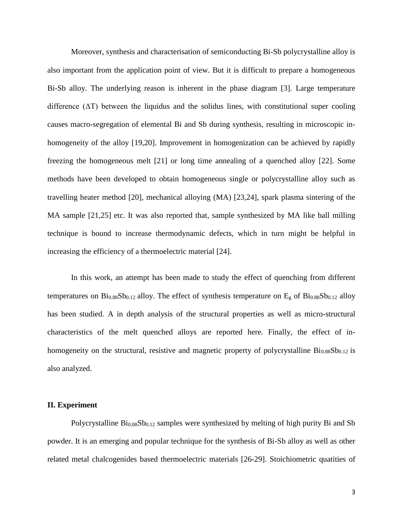Moreover, synthesis and characterisation of semiconducting Bi-Sb polycrystalline alloy is also important from the application point of view. But it is difficult to prepare a homogeneous Bi-Sb alloy. The underlying reason is inherent in the phase diagram [3]. Large temperature difference  $(\Delta T)$  between the liquidus and the solidus lines, with constitutional super cooling causes macro-segregation of elemental Bi and Sb during synthesis, resulting in microscopic inhomogeneity of the alloy [19,20]. Improvement in homogenization can be achieved by rapidly freezing the homogeneous melt [21] or long time annealing of a quenched alloy [22]. Some methods have been developed to obtain homogeneous single or polycrystalline alloy such as travelling heater method [20], mechanical alloying (MA) [23,24], spark plasma sintering of the MA sample [21,25] etc. It was also reported that, sample synthesized by MA like ball milling technique is bound to increase thermodynamic defects, which in turn might be helpful in increasing the efficiency of a thermoelectric material [24].

In this work, an attempt has been made to study the effect of quenching from different temperatures on  $Bi_{0.88}Sb_{0.12}$  alloy. The effect of synthesis temperature on  $E<sub>g</sub>$  of  $Bi_{0.88}Sb_{0.12}$  alloy has been studied. A in depth analysis of the structural properties as well as micro-structural characteristics of the melt quenched alloys are reported here. Finally, the effect of inhomogeneity on the structural, resistive and magnetic property of polycrystalline  $Bi<sub>0.88</sub>Sb<sub>0.12</sub>$  is also analyzed.

### **II. Experiment**

Polycrystalline  $Bi<sub>0.88</sub>Sb<sub>0.12</sub>$  samples were synthesized by melting of high purity Bi and Sb powder. It is an emerging and popular technique for the synthesis of Bi-Sb alloy as well as other related metal chalcogenides based thermoelectric materials [26-29]. Stoichiometric quatities of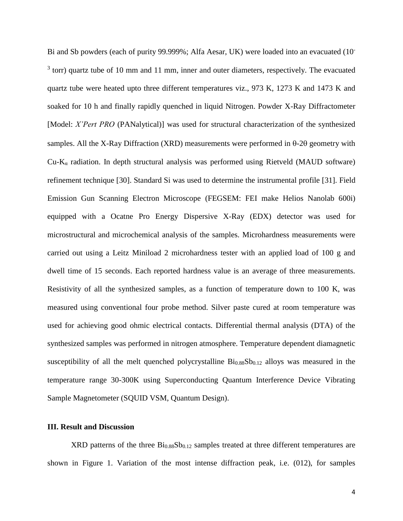Bi and Sb powders (each of purity 99.999%; Alfa Aesar, UK) were loaded into an evacuated (10-  $3$  torr) quartz tube of 10 mm and 11 mm, inner and outer diameters, respectively. The evacuated quartz tube were heated upto three different temperatures viz., 973 K, 1273 K and 1473 K and soaked for 10 h and finally rapidly quenched in liquid Nitrogen. Powder X-Ray Diffractometer [Model: *X'Pert PRO* (PANalytical)] was used for structural characterization of the synthesized samples. All the X-Ray Diffraction (XRD) measurements were performed in  $\theta$ -2 $\theta$  geometry with  $Cu-K_{\alpha}$  radiation. In depth structural analysis was performed using Rietveld (MAUD software) refinement technique [30]. Standard Si was used to determine the instrumental profile [31]. Field Emission Gun Scanning Electron Microscope (FEGSEM: FEI make Helios Nanolab 600i) equipped with a Ocatne Pro Energy Dispersive X-Ray (EDX) detector was used for microstructural and microchemical analysis of the samples. Microhardness measurements were carried out using a Leitz Miniload 2 microhardness tester with an applied load of 100 g and dwell time of 15 seconds. Each reported hardness value is an average of three measurements. Resistivity of all the synthesized samples, as a function of temperature down to 100 K, was measured using conventional four probe method. Silver paste cured at room temperature was used for achieving good ohmic electrical contacts. Differential thermal analysis (DTA) of the synthesized samples was performed in nitrogen atmosphere. Temperature dependent diamagnetic susceptibility of all the melt quenched polycrystalline  $Bi_{0.88}Sb_{0.12}$  alloys was measured in the temperature range 30-300K using Superconducting Quantum Interference Device Vibrating Sample Magnetometer (SQUID VSM, Quantum Design).

# **III. Result and Discussion**

 $XRD$  patterns of the three  $Bi<sub>0.88</sub>Sb<sub>0.12</sub>$  samples treated at three different temperatures are shown in Figure 1. Variation of the most intense diffraction peak, i.e. (012), for samples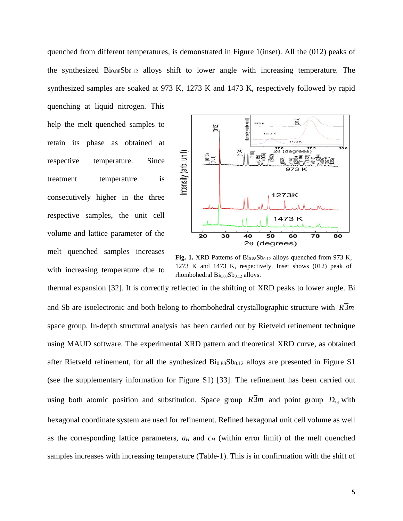quenched from different temperatures, is demonstrated in Figure 1(inset). All the (012) peaks of the synthesized  $Bi<sub>0.88</sub>Sb<sub>0.12</sub>$  alloys shift to lower angle with increasing temperature. The synthesized samples are soaked at 973 K, 1273 K and 1473 K, respectively followed by rapid

quenching at liquid nitrogen. This help the melt quenched samples to retain its phase as obtained at respective temperature. Since treatment temperature is consecutively higher in the three respective samples, the unit cell volume and lattice parameter of the melt quenched samples increases with increasing temperature due to



Fig. 1. XRD Patterns of  $Bi<sub>0.88</sub>Sb<sub>0.12</sub>$  alloys quenched from 973 K, 1273 K and 1473 K, respectively. Inset shows (012) peak of rhombohedral  $\text{Bi}_{0.88}\text{Sb}_{0.12}$  alloys.

thermal expansion [32]. It is correctly reflected in the shifting of XRD peaks to lower angle. Bi and Sb are isoelectronic and both belong to rhombohedral crystallographic structure with  $R3m$ space group. In-depth structural analysis has been carried out by Rietveld refinement technique using MAUD software. The experimental XRD pattern and theoretical XRD curve, as obtained after Rietveld refinement, for all the synthesized  $Bi_{0.88}Sb_{0.12}$  alloys are presented in Figure S1 (see the supplementary information for Figure S1) [33]. The refinement has been carried out using both atomic position and substitution. Space group  $\overline{R3m}$  and point group  $D_{3d}$  with hexagonal coordinate system are used for refinement. Refined hexagonal unit cell volume as well as the corresponding lattice parameters,  $a_H$  and  $c_H$  (within error limit) of the melt quenched samples increases with increasing temperature (Table-1). This is in confirmation with the shift of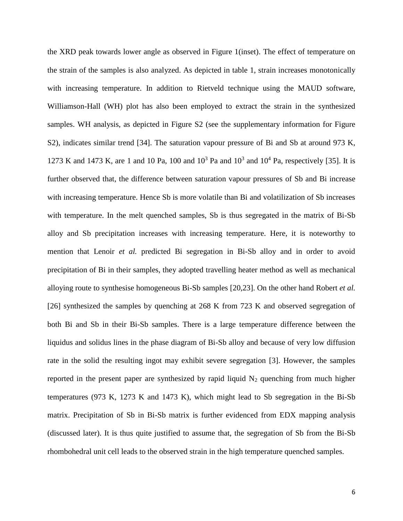the XRD peak towards lower angle as observed in Figure 1(inset). The effect of temperature on the strain of the samples is also analyzed. As depicted in table 1, strain increases monotonically with increasing temperature. In addition to Rietveld technique using the MAUD software, Williamson-Hall (WH) plot has also been employed to extract the strain in the synthesized samples. WH analysis, as depicted in Figure S2 (see the supplementary information for Figure S2), indicates similar trend [34]. The saturation vapour pressure of Bi and Sb at around 973 K, 1273 K and 1473 K, are 1 and 10 Pa, 100 and  $10^3$  Pa and  $10^3$  and  $10^4$  Pa, respectively [35]. It is further observed that, the difference between saturation vapour pressures of Sb and Bi increase with increasing temperature. Hence Sb is more volatile than Bi and volatilization of Sb increases with temperature. In the melt quenched samples, Sb is thus segregated in the matrix of Bi-Sb alloy and Sb precipitation increases with increasing temperature. Here, it is noteworthy to mention that Lenoir *et al.* predicted Bi segregation in Bi-Sb alloy and in order to avoid precipitation of Bi in their samples, they adopted travelling heater method as well as mechanical alloying route to synthesise homogeneous Bi-Sb samples [20,23]. On the other hand Robert *et al.* [26] synthesized the samples by quenching at 268 K from 723 K and observed segregation of both Bi and Sb in their Bi-Sb samples. There is a large temperature difference between the liquidus and solidus lines in the phase diagram of Bi-Sb alloy and because of very low diffusion rate in the solid the resulting ingot may exhibit severe segregation [3]. However, the samples reported in the present paper are synthesized by rapid liquid  $N_2$  quenching from much higher temperatures (973 K, 1273 K and 1473 K), which might lead to Sb segregation in the Bi-Sb matrix. Precipitation of Sb in Bi-Sb matrix is further evidenced from EDX mapping analysis (discussed later). It is thus quite justified to assume that, the segregation of Sb from the Bi-Sb rhombohedral unit cell leads to the observed strain in the high temperature quenched samples.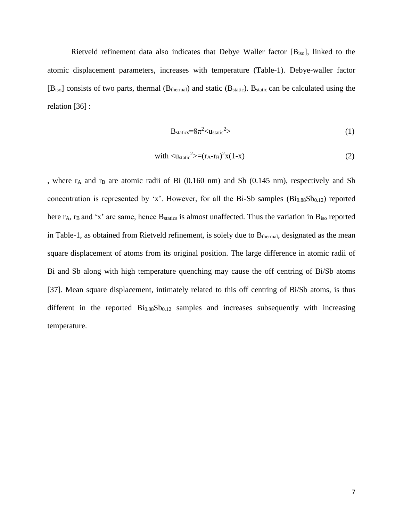Rietveld refinement data also indicates that Debye Waller factor [Biso], linked to the atomic displacement parameters, increases with temperature (Table-1). Debye-waller factor  $[B<sub>iso</sub>]$  consists of two parts, thermal ( $B<sub>thermal</sub>$ ) and static ( $B<sub>static</sub>$ ).  $B<sub>static</sub>$  can be calculated using the relation [36] :

$$
B_{\text{statics}} = 8\pi^2 \langle u_{\text{static}}^2 \rangle \tag{1}
$$

with 
$$
\langle u_{\text{static}}^2 \rangle = (r_A - r_B)^2 x (1 - x)
$$
 (2)

, where  $r_A$  and  $r_B$  are atomic radii of Bi (0.160 nm) and Sb (0.145 nm), respectively and Sb concentration is represented by 'x'. However, for all the Bi-Sb samples  $(Bi_{0.88}Sb_{0.12})$  reported here  $r_A$ ,  $r_B$  and 'x' are same, hence  $B_{\text{statics}}$  is almost unaffected. Thus the variation in  $B_{\text{iso}}$  reported in Table-1, as obtained from Rietveld refinement, is solely due to  $B_{thermal}$ , designated as the mean square displacement of atoms from its original position. The large difference in atomic radii of Bi and Sb along with high temperature quenching may cause the off centring of Bi/Sb atoms [37]. Mean square displacement, intimately related to this off centring of Bi/Sb atoms, is thus different in the reported  $Bi<sub>0.88</sub>Sb<sub>0.12</sub>$  samples and increases subsequently with increasing temperature.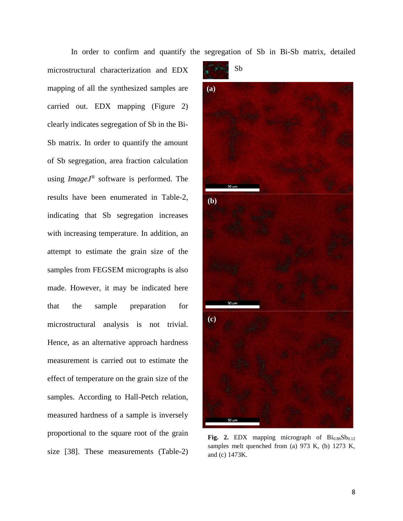In order to confirm and quantify the segregation of Sb in Bi-Sb matrix, detailed

microstructural characterization and EDX mapping of all the synthesized samples are carried out. EDX mapping (Figure 2) clearly indicates segregation of Sb in the Bi-Sb matrix. In order to quantify the amount of Sb segregation, area fraction calculation using *ImageJ*® software is performed. The results have been enumerated in Table-2, indicating that Sb segregation increases with increasing temperature. In addition, an attempt to estimate the grain size of the samples from FEGSEM micrographs is also made. However, it may be indicated here that the sample preparation for microstructural analysis is not trivial. Hence, as an alternative approach hardness measurement is carried out to estimate the effect of temperature on the grain size of the samples. According to Hall-Petch relation, measured hardness of a sample is inversely proportional to the square root of the grain size [38]. These measurements (Table-2)



Fig. 2.  $EDX$  mapping micrograph of  $Bi<sub>0.88</sub>Sb<sub>0.12</sub>$ samples melt quenched from (a)  $973$  K, (b)  $1273$  K, and (c) 1473K.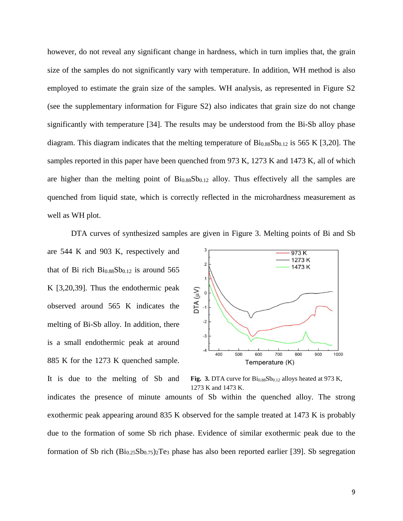however, do not reveal any significant change in hardness, which in turn implies that, the grain size of the samples do not significantly vary with temperature. In addition, WH method is also employed to estimate the grain size of the samples. WH analysis, as represented in Figure S2 (see the supplementary information for Figure S2) also indicates that grain size do not change significantly with temperature [34]. The results may be understood from the Bi-Sb alloy phase diagram. This diagram indicates that the melting temperature of  $Bi<sub>0.88</sub>Sb<sub>0.12</sub>$  is 565 K [3,20]. The samples reported in this paper have been quenched from 973 K, 1273 K and 1473 K, all of which are higher than the melting point of  $Bi<sub>0.88</sub>Sb<sub>0.12</sub>$  alloy. Thus effectively all the samples are quenched from liquid state, which is correctly reflected in the microhardness measurement as well as WH plot.

DTA curves of synthesized samples are given in Figure 3. Melting points of Bi and Sb

are 544 K and 903 K, respectively and that of Bi rich  $Bi_{0.88}Sb_{0.12}$  is around 565 K [3,20,39]. Thus the endothermic peak observed around 565 K indicates the melting of Bi-Sb alloy. In addition, there is a small endothermic peak at around 885 K for the 1273 K quenched sample.

It is due to the melting of Sb and



**Fig. 3.** DTA curve for  $Bi<sub>0.88</sub>Sb<sub>0.12</sub>$  alloys heated at 973 K, 1273 K and 1473 K.

indicates the presence of minute amounts of Sb within the quenched alloy. The strong exothermic peak appearing around 835 K observed for the sample treated at 1473 K is probably due to the formation of some Sb rich phase. Evidence of similar exothermic peak due to the formation of Sb rich  $(Bi_{0.25}Sb_{0.75})_2Te_3$  phase has also been reported earlier [39]. Sb segregation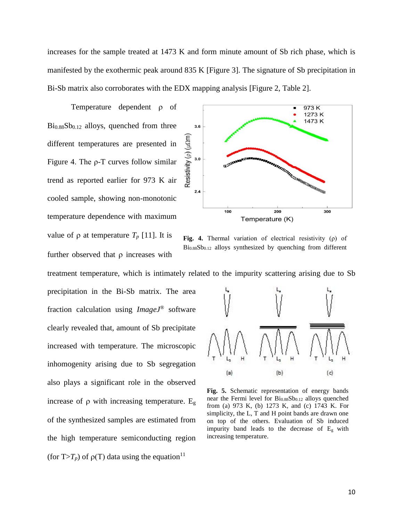increases for the sample treated at 1473 K and form minute amount of Sb rich phase, which is manifested by the exothermic peak around 835 K [Figure 3]. The signature of Sb precipitation in Bi-Sb matrix also corroborates with the EDX mapping analysis [Figure 2, Table 2].

Temperature dependent  $\rho$  of  $Bi<sub>0.88</sub>Sb<sub>0.12</sub>$  alloys, quenched from three different temperatures are presented in Figure 4. The ρ-T curves follow similar trend as reported earlier for 973 K air cooled sample, showing non-monotonic temperature dependence with maximum value of  $\rho$  at temperature  $T_p$  [11]. It is further observed that  $\rho$  increases with



**Fig. 4.** Thermal variation of electrical resistivity (ρ) of  $Bi<sub>0.88</sub>Sb<sub>0.12</sub>$  alloys synthesized by quenching from different

treatment temperature, which is intimately related to the impurity scattering arising due to Sb

precipitation in the Bi-Sb matrix. The area fraction calculation using *ImageJ*® software clearly revealed that, amount of Sb precipitate increased with temperature. The microscopic inhomogenity arising due to Sb segregation also plays a significant role in the observed increase of  $\rho$  with increasing temperature.  $E_g$ of the synthesized samples are estimated from the high temperature semiconducting region (for  $T>T_p$ ) of  $\rho(T)$  data using the equation<sup>11</sup>



**Fig. 5.** Schematic representation of energy bands near the Fermi level for Bi<sub>0.88</sub>Sb<sub>0.12</sub> alloys quenched from (a) 973 K, (b) 1273 K, and (c) 1743 K. For simplicity, the L, T and H point bands are drawn one on top of the others. Evaluation of Sb induced impurity band leads to the decrease of  $E<sub>g</sub>$  with increasing temperature.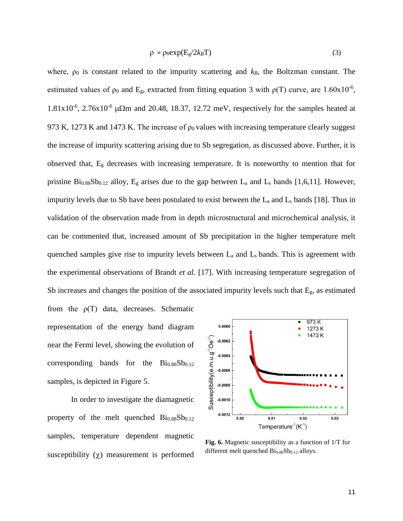$$
\rho = \rho_0 \exp(E_g / 2k_B T) \tag{3}
$$

where,  $\rho_0$  is constant related to the impurity scattering and  $k_B$ , the Boltzman constant. The estimated values of  $p_0$  and E<sub>g</sub>, extracted from fitting equation 3 with  $p(T)$  curve, are 1.60x10<sup>-6</sup>,  $1.81x10^{-6}$ ,  $2.76x10^{-6}$   $\mu\Omega$ m and 20.48, 18.37, 12.72 meV, respectively for the samples heated at 973 K, 1273 K and 1473 K. The increase of  $\rho_0$  values with increasing temperature clearly suggest the increase of impurity scattering arising due to Sb segregation, as discussed above. Further, it is observed that, E<sup>g</sup> decreases with increasing temperature. It is noteworthy to mention that for pristine  $Bi_{0.88}Sb_{0.12}$  alloy,  $E_g$  arises due to the gap between  $L_a$  and  $L_s$  bands [1,6,11]. However, impurity levels due to Sb have been postulated to exist between the  $L_a$  and  $L_s$  bands [18]. Thus in validation of the observation made from in depth microstructural and microchemical analysis, it can be commented that, increased amount of Sb precipitation in the higher temperature melt quenched samples give rise to impurity levels between  $L_a$  and  $L_s$  bands. This is agreement with the experimental observations of Brandt *et al.* [17]. With increasing temperature segregation of Sb increases and changes the position of the associated impurity levels such that  $E<sub>g</sub>$ , as estimated from the ρ(T) data, decreases. Schematic

representation of the energy band diagram near the Fermi level, showing the evolution of corresponding bands for the  $\text{Bi}_{0.88}\text{Sb}_{0.12}$ samples, is depicted in Figure 5.

In order to investigate the diamagnetic property of the melt quenched  $\rm{Bi}_{0.88}Sb_{0.12}$ samples, temperature dependent magnetic susceptibility  $(\chi)$  measurement is performed



**Fig. 6.** Magnetic susceptibility as a function of 1/T for different melt quenched  $\rm{Bi_{0.88}Sb_{0.12}}$  alloys.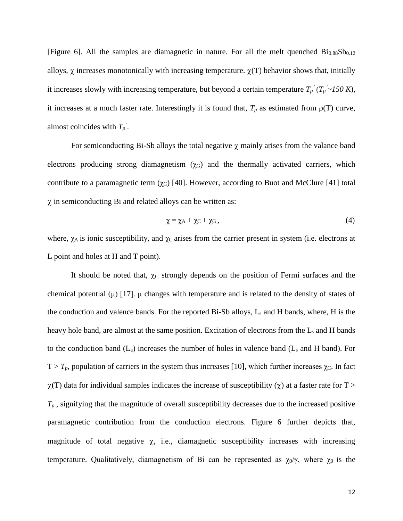[Figure 6]. All the samples are diamagnetic in nature. For all the melt quenched  $Bi<sub>0.88</sub>Sb<sub>0.12</sub>$ alloys,  $\chi$  increases monotonically with increasing temperature.  $\chi(T)$  behavior shows that, initially it increases slowly with increasing temperature, but beyond a certain temperature  $T_p$ <sup>'</sup> $(T_p \sim 150 K)$ , it increases at a much faster rate. Interestingly it is found that,  $T_p$  as estimated from  $p(T)$  curve, almost coincides with  $T_p$ <sup>'</sup>.

For semiconducting Bi-Sb alloys the total negative  $\chi$  mainly arises from the valance band electrons producing strong diamagnetism  $(\gamma_G)$  and the thermally activated carriers, which contribute to a paramagnetic term  $(\chi_C)$  [40]. However, according to Buot and McClure [41] total  $\chi$  in semiconducting Bi and related alloys can be written as:

$$
\chi = \chi_A + \chi_C + \chi_G, \qquad (4)
$$

where,  $\chi_A$  is ionic susceptibility, and  $\chi_C$  arises from the carrier present in system (i.e. electrons at L point and holes at H and T point).

It should be noted that,  $\chi_C$  strongly depends on the position of Fermi surfaces and the chemical potential (μ) [17]. μ changes with temperature and is related to the density of states of the conduction and valence bands. For the reported Bi-Sb alloys, L<sup>s</sup> and H bands, where, H is the heavy hole band, are almost at the same position. Excitation of electrons from the L<sub>s</sub> and H bands to the conduction band  $(L_a)$  increases the number of holes in valence band  $(L_s$  and H band). For  $T > T_p$ , population of carriers in the system thus increases [10], which further increases  $\chi_C$ . In fact  $\chi(T)$  data for individual samples indicates the increase of susceptibility ( $\chi$ ) at a faster rate for T >  $T_p$ <sup>'</sup>, signifying that the magnitude of overall susceptibility decreases due to the increased positive paramagnetic contribution from the conduction electrons. Figure 6 further depicts that, magnitude of total negative  $\chi$ , i.e., diamagnetic susceptibility increases with increasing temperature. Qualitatively, diamagnetism of Bi can be represented as  $\chi_0/\gamma$ , where  $\chi_0$  is the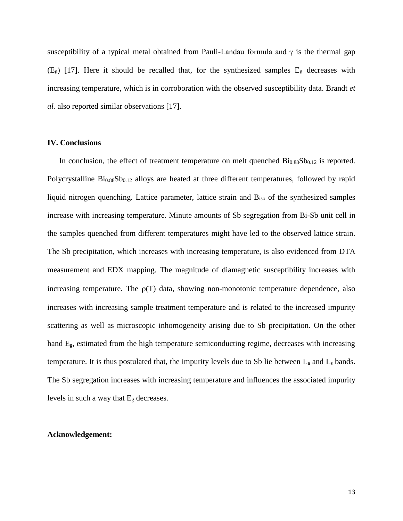susceptibility of a typical metal obtained from Pauli-Landau formula and  $\gamma$  is the thermal gap  $(E<sub>g</sub>)$  [17]. Here it should be recalled that, for the synthesized samples  $E<sub>g</sub>$  decreases with increasing temperature, which is in corroboration with the observed susceptibility data. Brandt *et al.* also reported similar observations [17].

### **IV. Conclusions**

In conclusion, the effect of treatment temperature on melt quenched  $Bi<sub>0.88</sub>Sb<sub>0.12</sub>$  is reported. Polycrystalline  $Bi<sub>0.88</sub>Sb<sub>0.12</sub>$  alloys are heated at three different temperatures, followed by rapid liquid nitrogen quenching. Lattice parameter, lattice strain and Biso of the synthesized samples increase with increasing temperature. Minute amounts of Sb segregation from Bi-Sb unit cell in the samples quenched from different temperatures might have led to the observed lattice strain. The Sb precipitation, which increases with increasing temperature, is also evidenced from DTA measurement and EDX mapping. The magnitude of diamagnetic susceptibility increases with increasing temperature. The  $p(T)$  data, showing non-monotonic temperature dependence, also increases with increasing sample treatment temperature and is related to the increased impurity scattering as well as microscopic inhomogeneity arising due to Sb precipitation. On the other hand Eg, estimated from the high temperature semiconducting regime, decreases with increasing temperature. It is thus postulated that, the impurity levels due to Sb lie between  $L_a$  and  $L_s$  bands. The Sb segregation increases with increasing temperature and influences the associated impurity levels in such a way that E<sup>g</sup> decreases.

#### **Acknowledgement:**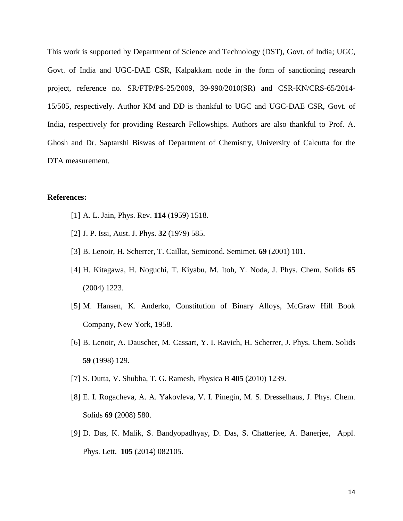This work is supported by Department of Science and Technology (DST), Govt. of India; UGC, Govt. of India and UGC-DAE CSR, Kalpakkam node in the form of sanctioning research project, reference no. SR/FTP/PS-25/2009, 39-990/2010(SR) and CSR-KN/CRS-65/2014- 15/505, respectively. Author KM and DD is thankful to UGC and UGC-DAE CSR, Govt. of India, respectively for providing Research Fellowships. Authors are also thankful to Prof. A. Ghosh and Dr. Saptarshi Biswas of Department of Chemistry, University of Calcutta for the DTA measurement.

## **References:**

- [1] A. L. Jain, Phys. Rev. **114** (1959) 1518.
- [2] J. P. Issi, Aust. J. Phys. **32** (1979) 585.
- [3] B. Lenoir, H. Scherrer, T. Caillat, Semicond. Semimet. **69** (2001) 101.
- [4] H. Kitagawa, H. Noguchi, T. Kiyabu, M. Itoh, Y. Noda, J. Phys. Chem. Solids **65** (2004) 1223.
- [5] M. Hansen, K. Anderko, Constitution of Binary Alloys, McGraw Hill Book Company, New York, 1958.
- [6] B. Lenoir, A. Dauscher, M. Cassart, Y. I. Ravich, H. Scherrer, J. Phys. Chem. Solids **59** (1998) 129.
- [7] S. Dutta, V. Shubha, T. G. Ramesh, Physica B **405** (2010) 1239.
- [8] E. I. Rogacheva, A. A. Yakovleva, V. I. Pinegin, M. S. Dresselhaus, J. Phys. Chem. Solids **69** (2008) 580.
- [9] D. Das, K. Malik, S. Bandyopadhyay, D. Das, S. Chatterjee, A. Banerjee, Appl. Phys. Lett. **105** (2014) 082105.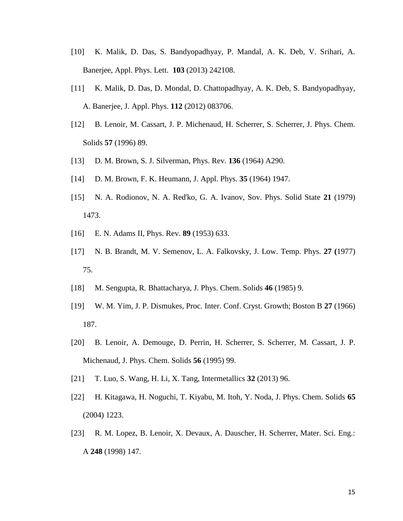- [10] K. Malik, D. Das, S. Bandyopadhyay, P. Mandal, A. K. Deb, V. Srihari, A. Banerjee, Appl. Phys. Lett. **103** (2013) 242108.
- [11] K. Malik, D. Das, D. Mondal, D. Chattopadhyay, A. K. Deb, S. Bandyopadhyay, A. Banerjee, J. Appl. Phys. **112** (2012) 083706.
- [12] B. Lenoir, M. Cassart, J. P. Michenaud, H. Scherrer, S. Scherrer, J. Phys. Chem. Solids **57** (1996) 89.
- [13] D. M. Brown, S. J. Silverman, Phys. Rev. **136** (1964) A290.
- [14] D. M. Brown, F. K. Heumann, J. Appl. Phys. **35** (1964) 1947.
- [15] N. A. Rodionov, N. A. Red'ko, G. A. Ivanov, Sov. Phys. Solid State **21** (1979) 1473.
- [16] E. N. Adams II, Phys. Rev. **89** (1953) 633.
- [17] N. B. Brandt, M. V. Semenov, L. A. Falkovsky, J. Low. Temp. Phys. **27 (**1977) 75.
- [18] M. Sengupta, R. Bhattacharya, J. Phys. Chem. Solids **46** (1985) 9.
- [19] W. M. Yim, J. P. Dismukes, Proc. Inter. Conf. Cryst. Growth; Boston B **27** (1966) 187.
- [20] B. Lenoir, A. Demouge, D. Perrin, H. Scherrer, S. Scherrer, M. Cassart, J. P. Michenaud, J. Phys. Chem. Solids **56** (1995) 99.
- [21] T. Luo, S. Wang, H. Li, X. Tang, Intermetallics **32** (2013) 96.
- [22] H. Kitagawa, H. Noguchi, T. Kiyabu, M. Itoh, Y. Noda, J. Phys. Chem. Solids **65** (2004) 1223.
- [23] R. M. Lopez, B. Lenoir, X. Devaux, A. Dauscher, H. Scherrer, Mater. Sci. Eng.: A **248** (1998) 147.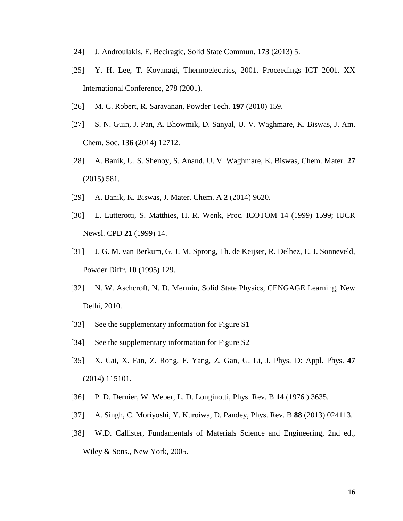- [24] J. Androulakis, E. Beciragic, Solid State Commun. **173** (2013) 5.
- [25] Y. H. Lee, T. Koyanagi, Thermoelectrics, 2001. Proceedings ICT 2001. XX International Conference, 278 (2001).
- [26] M. C. Robert, R. Saravanan, Powder Tech. **197** (2010) 159.
- [27] S. N. Guin, J. Pan, A. Bhowmik, D. Sanyal, U. V. Waghmare, K. Biswas, J. Am. Chem. Soc. **136** (2014) 12712.
- [28] A. Banik, U. S. Shenoy, S. Anand, U. V. Waghmare, K. Biswas, Chem. Mater. **27** (2015) 581.
- [29] A. Banik, K. Biswas, J. Mater. Chem. A **2** (2014) 9620.
- [30] L. Lutterotti, S. Matthies, H. R. Wenk, Proc. ICOTOM 14 (1999) 1599; IUCR Newsl. CPD **21** (1999) 14.
- [31] J. G. M. van Berkum, G. J. M. Sprong, Th. de Keijser, R. Delhez, E. J. Sonneveld, Powder Diffr. **10** (1995) 129.
- [32] N. W. Aschcroft, N. D. Mermin, Solid State Physics, CENGAGE Learning, New Delhi, 2010.
- [33] See the supplementary information for Figure S1
- [34] See the supplementary information for Figure S2
- [35] X. Cai, X. Fan, Z. Rong, F. Yang, Z. Gan, G. Li, J. Phys. D: Appl. Phys. **47** (2014) 115101.
- [36] P. D. Dernier, W. Weber, L. D. Longinotti, Phys. Rev. B **14** (1976 ) 3635.
- [37] A. Singh, C. Moriyoshi, Y. Kuroiwa, D. Pandey, Phys. Rev. B **88** (2013) 024113.
- [38] W.D. Callister, Fundamentals of Materials Science and Engineering, 2nd ed., Wiley & Sons., New York, 2005.